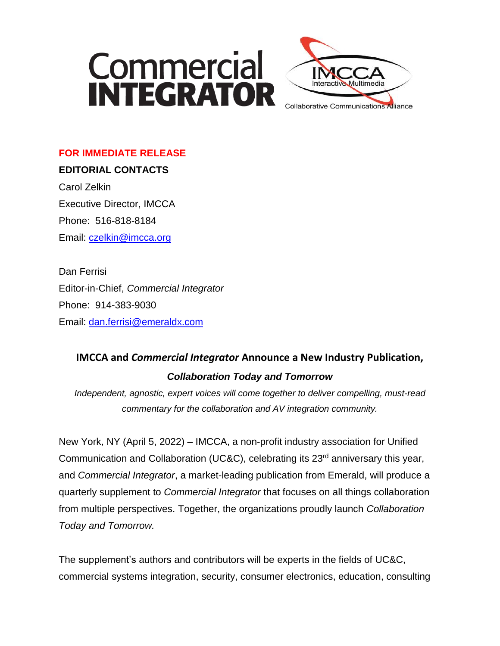



### **FOR IMMEDIATE RELEASE**

**EDITORIAL CONTACTS** Carol Zelkin Executive Director, IMCCA Phone: 516-818-8184 Email: [czelkin@imcca.org](mailto:czelkin@imcca.org)

Dan Ferrisi Editor-in-Chief, *Commercial Integrator* Phone: 914-383-9030 Email: [dan.ferrisi@emeraldx.com](mailto:dan.ferrisi@emeraldx.com)

## **IMCCA and** *Commercial Integrator* **Announce a New Industry Publication,**  *Collaboration Today and Tomorrow*

*Independent, agnostic, expert voices will come together to deliver compelling, must-read commentary for the collaboration and AV integration community.*

New York, NY (April 5, 2022) – IMCCA, a non-profit industry association for Unified Communication and Collaboration (UC&C), celebrating its 23<sup>rd</sup> anniversary this year, and *Commercial Integrator*, a market-leading publication from Emerald, will produce a quarterly supplement to *Commercial Integrator* that focuses on all things collaboration from multiple perspectives. Together, the organizations proudly launch *Collaboration Today and Tomorrow.*

The supplement's authors and contributors will be experts in the fields of UC&C, commercial systems integration, security, consumer electronics, education, consulting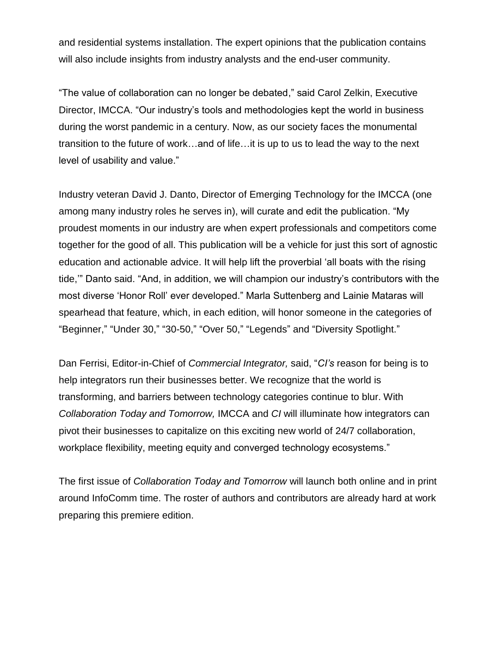and residential systems installation. The expert opinions that the publication contains will also include insights from industry analysts and the end-user community.

"The value of collaboration can no longer be debated," said Carol Zelkin, Executive Director, IMCCA. "Our industry's tools and methodologies kept the world in business during the worst pandemic in a century. Now, as our society faces the monumental transition to the future of work…and of life…it is up to us to lead the way to the next level of usability and value."

Industry veteran David J. Danto, Director of Emerging Technology for the IMCCA (one among many industry roles he serves in), will curate and edit the publication. "My proudest moments in our industry are when expert professionals and competitors come together for the good of all. This publication will be a vehicle for just this sort of agnostic education and actionable advice. It will help lift the proverbial 'all boats with the rising tide,'" Danto said. "And, in addition, we will champion our industry's contributors with the most diverse 'Honor Roll' ever developed." Marla Suttenberg and Lainie Mataras will spearhead that feature, which, in each edition, will honor someone in the categories of "Beginner," "Under 30," "30-50," "Over 50," "Legends" and "Diversity Spotlight."

Dan Ferrisi, Editor-in-Chief of *Commercial Integrator,* said, "*CI's* reason for being is to help integrators run their businesses better. We recognize that the world is transforming, and barriers between technology categories continue to blur. With *Collaboration Today and Tomorrow,* IMCCA and *CI* will illuminate how integrators can pivot their businesses to capitalize on this exciting new world of 24/7 collaboration, workplace flexibility, meeting equity and converged technology ecosystems."

The first issue of *Collaboration Today and Tomorrow* will launch both online and in print around InfoComm time. The roster of authors and contributors are already hard at work preparing this premiere edition.